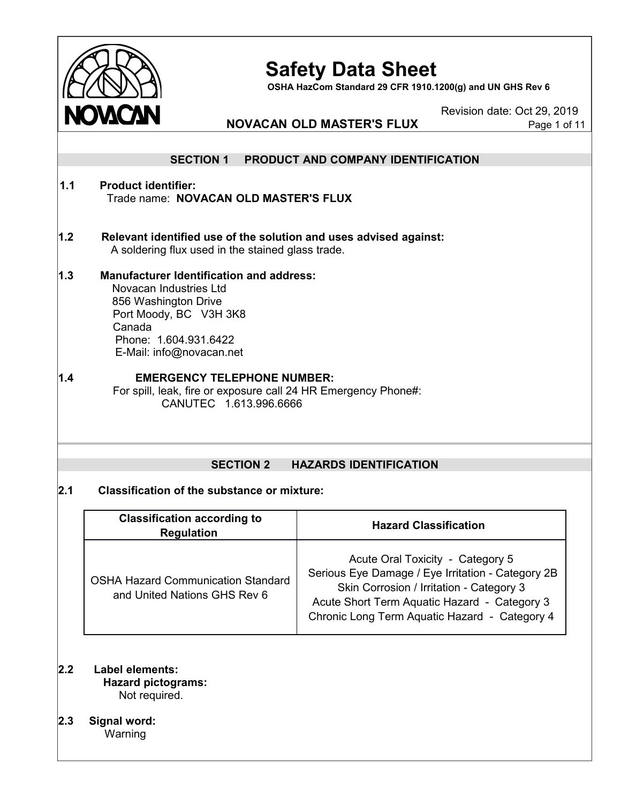

**OSHA HazCom Standard 29 CFR 1910.1200(g) and UN GHS Rev 6**

Revision date: Oct 29, 2019

# **NOVACAN OLD MASTER'S FLUX** Page 1 of 11

|     | <b>SECTION 1</b>                                                                                                                                                                           | PRODUCT AND COMPANY IDENTIFICATION                                                                                                                                                                                                 |  |  |  |
|-----|--------------------------------------------------------------------------------------------------------------------------------------------------------------------------------------------|------------------------------------------------------------------------------------------------------------------------------------------------------------------------------------------------------------------------------------|--|--|--|
| 1.1 | <b>Product identifier:</b><br>Trade name: NOVACAN OLD MASTER'S FLUX                                                                                                                        |                                                                                                                                                                                                                                    |  |  |  |
| 1.2 | Relevant identified use of the solution and uses advised against:<br>A soldering flux used in the stained glass trade.                                                                     |                                                                                                                                                                                                                                    |  |  |  |
| 1.3 | <b>Manufacturer Identification and address:</b><br>Novacan Industries Ltd<br>856 Washington Drive<br>Port Moody, BC V3H 3K8<br>Canada<br>Phone: 1.604.931.6422<br>E-Mail: info@novacan.net |                                                                                                                                                                                                                                    |  |  |  |
| 1.4 | <b>EMERGENCY TELEPHONE NUMBER:</b><br>For spill, leak, fire or exposure call 24 HR Emergency Phone#:<br>CANUTEC 1.613.996.6666                                                             |                                                                                                                                                                                                                                    |  |  |  |
|     | <b>SECTION 2</b>                                                                                                                                                                           | <b>HAZARDS IDENTIFICATION</b>                                                                                                                                                                                                      |  |  |  |
| 2.1 | <b>Classification of the substance or mixture:</b>                                                                                                                                         |                                                                                                                                                                                                                                    |  |  |  |
|     | <b>Classification according to</b><br><b>Regulation</b>                                                                                                                                    | <b>Hazard Classification</b>                                                                                                                                                                                                       |  |  |  |
|     | <b>OSHA Hazard Communication Standard</b><br>and United Nations GHS Rev 6                                                                                                                  | Acute Oral Toxicity - Category 5<br>Serious Eye Damage / Eye Irritation - Category 2B<br>Skin Corrosion / Irritation - Category 3<br>Acute Short Term Aquatic Hazard - Category 3<br>Chronic Long Term Aquatic Hazard - Category 4 |  |  |  |

- **2.2 Label elements: Hazard pictograms:** Not required.
- **2.3 Signal word:**

**Warning**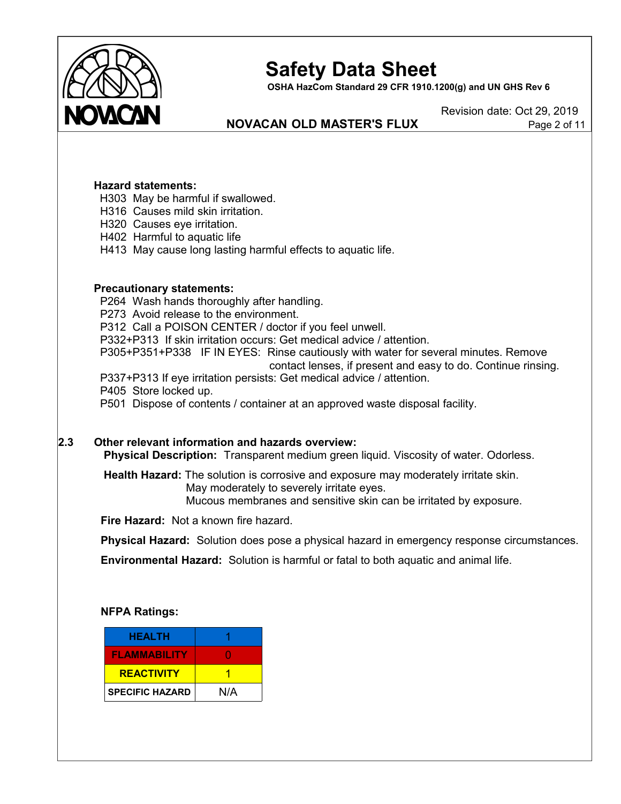

**OSHA HazCom Standard 29 CFR 1910.1200(g) and UN GHS Rev 6**

# **NOVACAN OLD MASTER'S FLUX** Page 2 of 11

Revision date: Oct 29, 2019

#### **Hazard statements:**

H303 May be harmful if swallowed.

- H316 Causes mild skin irritation.
- H320 Causes eye irritation.
- H402 Harmful to aquatic life
- H413 May cause long lasting harmful effects to aquatic life.

#### **Precautionary statements:**

P264 Wash hands thoroughly after handling. P273 Avoid release to the environment. P312 Call a POISON CENTER / doctor if you feel unwell. P332+P313 If skin irritation occurs: Get medical advice / attention. P305+P351+P338 IF IN EYES: Rinse cautiously with water for several minutes. Remove contact lenses, if present and easy to do. Continue rinsing. P337+P313 If eye irritation persists: Get medical advice / attention. P405 Store locked up. P501 Dispose of contents / container at an approved waste disposal facility.

# **2.3 Other relevant information and hazards overview:**

**Physical Description:** Transparent medium green liquid. Viscosity of water. Odorless.

**Health Hazard:** The solution is corrosive and exposure may moderately irritate skin. May moderately to severely irritate eyes. Mucous membranes and sensitive skin can be irritated by exposure.

**Fire Hazard:** Not a known fire hazard.

**Physical Hazard:** Solution does pose a physical hazard in emergency response circumstances.

**Environmental Hazard:** Solution is harmful or fatal to both aquatic and animal life.

#### **NFPA Ratings:**

| <b>HEALTH</b>          |     |
|------------------------|-----|
| <b>FLAMMABILITY</b>    |     |
| <b>REACTIVITY</b>      |     |
| <b>SPECIFIC HAZARD</b> | N/A |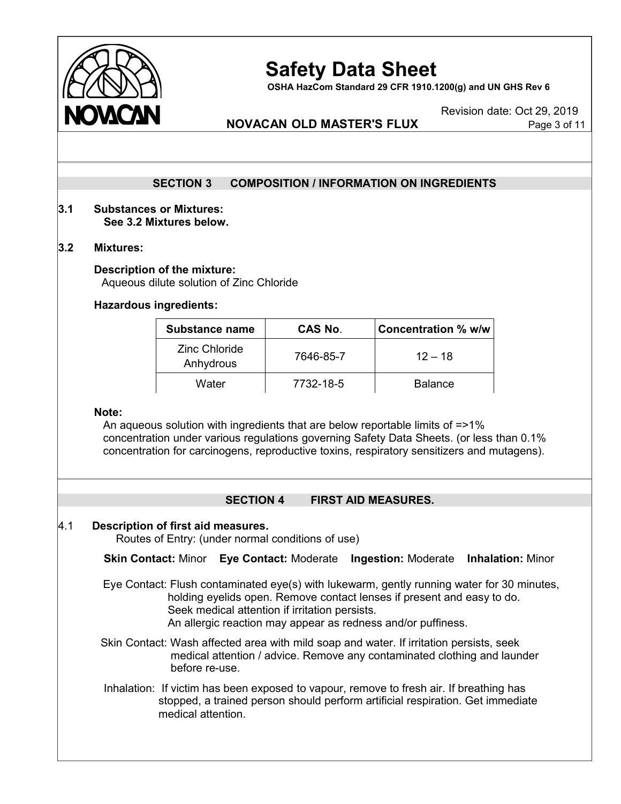

**OSHA HazCom Standard 29 CFR 1910.1200(g) and UN GHS Rev 6**

Revision date: Oct 29, 2019

# **NOVACAN OLD MASTER'S FLUX** Page 3 of 11

# **SECTION 3 COMPOSITION / INFORMATION ON INGREDIENTS**

#### **3.1 Substances or Mixtures: See 3.2 Mixtures below.**

#### **3.2 Mixtures:**

#### **Description of the mixture:** Aqueous dilute solution of Zinc Chloride

#### **Hazardous ingredients:**

| <b>Substance name</b>             | <b>CAS No.</b> | Concentration % w/w |
|-----------------------------------|----------------|---------------------|
| <b>Zinc Chloride</b><br>Anhydrous | 7646-85-7      | $12 - 18$           |
| Water                             | 7732-18-5      | <b>Balance</b>      |

#### **Note:**

An aqueous solution with ingredients that are below reportable limits of =>1% concentration under various regulations governing Safety Data Sheets. (or less than 0.1% concentration for carcinogens, reproductive toxins, respiratory sensitizers and mutagens).

# **SECTION 4 FIRST AID MEASURES.**

#### 4.1 **Description of first aid measures.**

Routes of Entry: (under normal conditions of use)

#### **Skin Contact:** Minor **Eye Contact:** Moderate **Ingestion:** Moderate **Inhalation:** Minor

- Eye Contact: Flush contaminated eye(s) with lukewarm, gently running water for 30 minutes, holding eyelids open. Remove contact lenses if present and easy to do. Seek medical attention if irritation persists. An allergic reaction may appear as redness and/or puffiness.
- Skin Contact: Wash affected area with mild soap and water. If irritation persists, seek medical attention / advice. Remove any contaminated clothing and launder before re-use.
- Inhalation: If victim has been exposed to vapour, remove to fresh air. If breathing has stopped, a trained person should perform artificial respiration. Get immediate medical attention.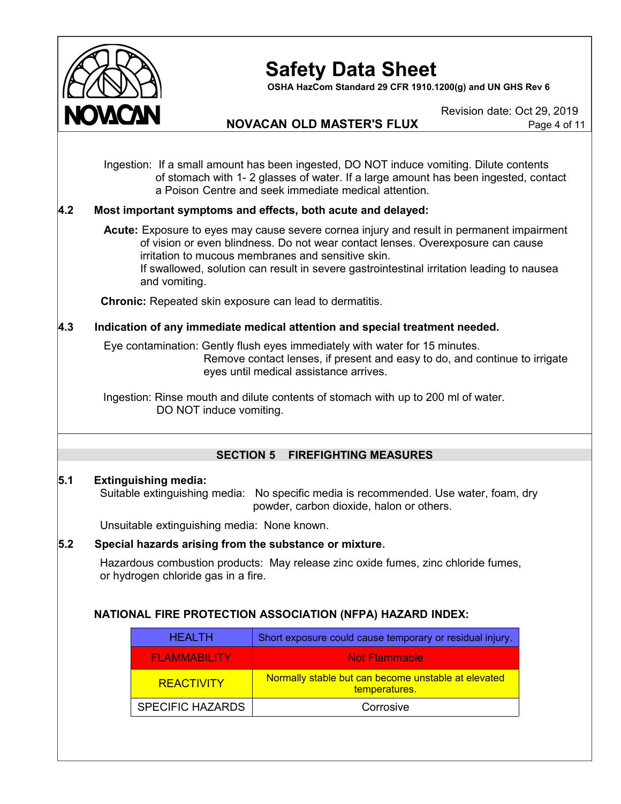

**OSHA HazCom Standard 29 CFR 1910.1200(g) and UN GHS Rev 6**

Revision date: Oct 29, 2019

# **NOVACAN OLD MASTER'S FLUX** Page 4 of 11

Ingestion: If a small amount has been ingested, DO NOT induce vomiting. Dilute contents of stomach with 1- 2 glasses of water. If a large amount has been ingested, contact a Poison Centre and seek immediate medical attention.

# **4.2 Most important symptoms and effects, both acute and delayed:**

**Acute:** Exposure to eyes may cause severe cornea injury and result in permanent impairment of vision or even blindness. Do not wear contact lenses. Overexposure can cause irritation to mucous membranes and sensitive skin. If swallowed, solution can result in severe gastrointestinal irritation leading to nausea and vomiting.

**Chronic:** Repeated skin exposure can lead to dermatitis.

# **4.3 Indication of any immediate medical attention and special treatment needed.**

Eye contamination: Gently flush eyes immediately with water for 15 minutes. Remove contact lenses, if present and easy to do, and continue to irrigate eyes until medical assistance arrives.

Ingestion: Rinse mouth and dilute contents of stomach with up to 200 ml of water. DO NOT induce vomiting.

# **SECTION 5 FIREFIGHTING MEASURES**

#### **5.1 Extinguishing media:**

Suitable extinguishing media: No specific media is recommended. Use water, foam, dry powder, carbon dioxide, halon or others.

Unsuitable extinguishing media: None known.

# **5.2 Special hazards arising from the substance or mixture.**

Hazardous combustion products: May release zinc oxide fumes, zinc chloride fumes, or hydrogen chloride gas in a fire.

# **NATIONAL FIRE PROTECTION ASSOCIATION (NFPA) HAZARD INDEX:**

| <b>HEALTH</b>           | Short exposure could cause temporary or residual injury.             |  |
|-------------------------|----------------------------------------------------------------------|--|
| <b>FLAMMABILITY</b>     | <b>Not Flammable</b>                                                 |  |
| <b>REACTIVITY</b>       | Normally stable but can become unstable at elevated<br>temperatures. |  |
| <b>SPECIFIC HAZARDS</b> | Corrosive                                                            |  |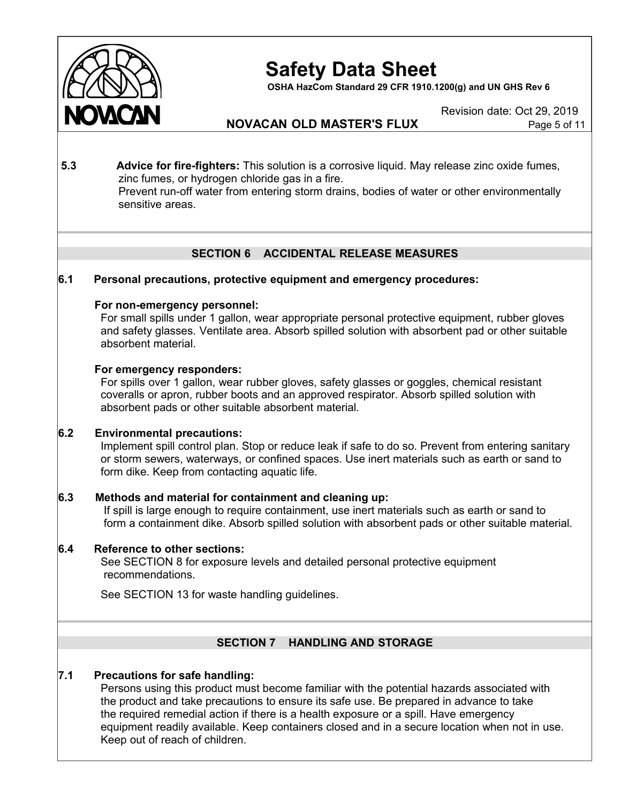

**OSHA HazCom Standard 29 CFR 1910.1200(g) and UN GHS Rev 6**

Revision date: Oct 29, 2019

# **NOVACAN OLD MASTER'S FLUX** Page 5 of 11

**5.3 Advice for fire-fighters:** This solution is a corrosive liquid. May release zinc oxide fumes, zinc fumes, or hydrogen chloride gas in a fire. Prevent run-off water from entering storm drains, bodies of water or other environmentally sensitive areas.

# **SECTION 6 ACCIDENTAL RELEASE MEASURES**

# **6.1 Personal precautions, protective equipment and emergency procedures:**

#### **For non-emergency personnel:**

For small spills under 1 gallon, wear appropriate personal protective equipment, rubber gloves and safety glasses. Ventilate area. Absorb spilled solution with absorbent pad or other suitable absorbent material.

#### **For emergency responders:**

For spills over 1 gallon, wear rubber gloves, safety glasses or goggles, chemical resistant coveralls or apron, rubber boots and an approved respirator. Absorb spilled solution with absorbent pads or other suitable absorbent material.

# **6.2 Environmental precautions:**

Implement spill control plan. Stop or reduce leak if safe to do so. Prevent from entering sanitary or storm sewers, waterways, or confined spaces. Use inert materials such as earth or sand to form dike. Keep from contacting aquatic life.

# **6.3 Methods and material for containment and cleaning up:**

If spill is large enough to require containment, use inert materials such as earth or sand to form a containment dike. Absorb spilled solution with absorbent pads or other suitable material.

# **6.4 Reference to other sections:**

See SECTION 8 for exposure levels and detailed personal protective equipment recommendations.

See SECTION 13 for waste handling guidelines.

# **SECTION 7 HANDLING AND STORAGE**

# **7.1 Precautions for safe handling:**

Persons using this product must become familiar with the potential hazards associated with the product and take precautions to ensure its safe use. Be prepared in advance to take the required remedial action if there is a health exposure or a spill. Have emergency equipment readily available. Keep containers closed and in a secure location when not in use. Keep out of reach of children.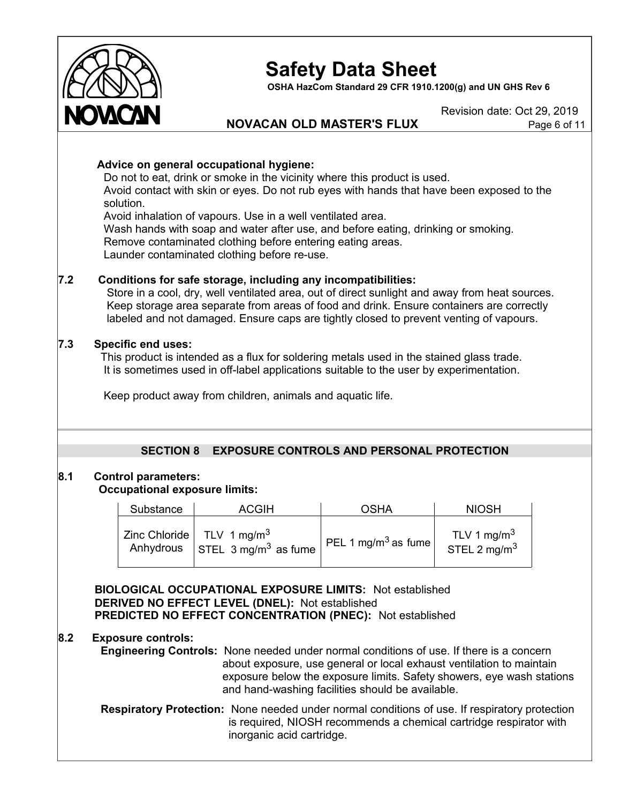

**OSHA HazCom Standard 29 CFR 1910.1200(g) and UN GHS Rev 6**

Revision date: Oct 29, 2019

# **NOVACAN OLD MASTER'S FLUX** Page 6 of 11

# **Advice on general occupational hygiene:**

Do not to eat, drink or smoke in the vicinity where this product is used. Avoid contact with skin or eyes. Do not rub eyes with hands that have been exposed to the solution.

Avoid inhalation of vapours. Use in a well ventilated area. Wash hands with soap and water after use, and before eating, drinking or smoking. Remove contaminated clothing before entering eating areas. Launder contaminated clothing before re-use.

# **7.2 Conditions for safe storage, including any incompatibilities:**

Store in a cool, dry, well ventilated area, out of direct sunlight and away from heat sources. Keep storage area separate from areas of food and drink. Ensure containers are correctly labeled and not damaged. Ensure caps are tightly closed to prevent venting of vapours.

# **7.3 Specific end uses:**

This product is intended as a flux for soldering metals used in the stained glass trade. It is sometimes used in off-label applications suitable to the user by experimentation.

Keep product away from children, animals and aquatic life.

# **SECTION 8 EXPOSURE CONTROLS AND PERSONAL PROTECTION**

# **8.1 Control parameters:**

# **Occupational exposure limits:**

| Substance | <b>ACGIH</b>                                                                      | <b>OSHA</b>                     | <b>NIOSH</b>                               |
|-----------|-----------------------------------------------------------------------------------|---------------------------------|--------------------------------------------|
| Anhydrous | Zinc Chloride $\vert$ TLV 1 mg/m <sup>3</sup><br>STEL 3 mg/m <sup>3</sup> as fume | PEL 1 mg/m <sup>3</sup> as fume | TLV 1 mg/m <sup>3</sup><br>STEL 2 mg/m $3$ |

**BIOLOGICAL OCCUPATIONAL EXPOSURE LIMITS:** Not established **DERIVED NO EFFECT LEVEL (DNEL):** Not established **PREDICTED NO EFFECT CONCENTRATION (PNEC):** Not established

# **8.2 Exposure controls:**

**Engineering Controls:** None needed under normal conditions of use. If there is a concern about exposure, use general or local exhaust ventilation to maintain exposure below the exposure limits. Safety showers, eye wash stations and hand-washing facilities should be available.

**Respiratory Protection:** None needed under normal conditions of use. If respiratory protection is required, NIOSH recommends a chemical cartridge respirator with inorganic acid cartridge.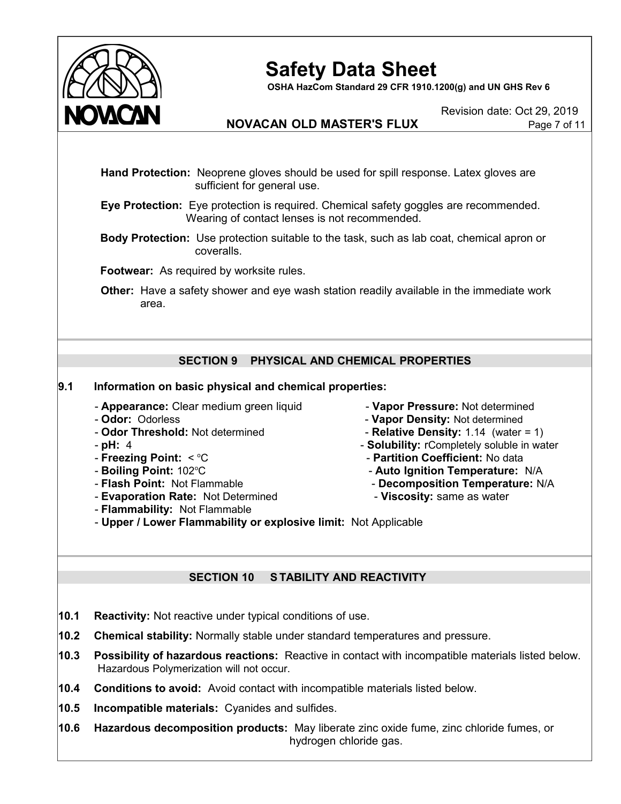

**OSHA HazCom Standard 29 CFR 1910.1200(g) and UN GHS Rev 6**

Revision date: Oct 29, 2019

# **NOVACAN OLD MASTER'S FLUX** Page 7 of 11

**Hand Protection:** Neoprene gloves should be used for spill response. Latex gloves are sufficient for general use.

**Eye Protection:** Eye protection is required. Chemical safety goggles are recommended. Wearing of contact lenses is not recommended.

**Body Protection:** Use protection suitable to the task, such as lab coat, chemical apron or coveralls.

**Footwear:** As required by worksite rules.

**Other:** Have a safety shower and eye wash station readily available in the immediate work area.

# **SECTION 9 PHYSICAL AND CHEMICAL PROPERTIES**

# **9.1 Information on basic physical and chemical properties:**

- **Appearance:** Clear medium green liquid **Vapor Pressure:** Not determined
- 
- 
- 
- **Freezing Point:**  $\leq$  °C
- **Boiling Point: 102°C**
- 
- **Evaporation Rate:** Not Determined  **Viscosity:** same as water
- **Flammability:** Not Flammable
- 
- **Odor:** Odorless **Vapor Density:** Not determined
- **Odor Threshold:** Not determined **Relative Density:** 1.14 (water = 1)
- **pH:** 4 **pH:** 4 **Solubility:** rCompletely soluble in water
	- C **Partition Coefficient:** No data
	- C **Auto Ignition Temperature:** N/A
- **Flash Point:** Not Flammable **Decomposition Temperature:** N/A
	-
- **Upper / Lower Flammability or explosive limit:** Not Applicable

# **SECTION 10 S TABILITY AND REACTIVITY**

- **10.1 Reactivity:** Not reactive under typical conditions of use.
- **10.2 Chemical stability:** Normally stable under standard temperatures and pressure.
- **10.3 Possibility of hazardous reactions:** Reactive in contact with incompatible materials listed below. Hazardous Polymerization will not occur.
- **10.4 Conditions to avoid:** Avoid contact with incompatible materials listed below.
- **10.5 Incompatible materials:** Cyanides and sulfides.
- **10.6 Hazardous decomposition products:** May liberate zinc oxide fume, zinc chloride fumes, or hydrogen chloride gas.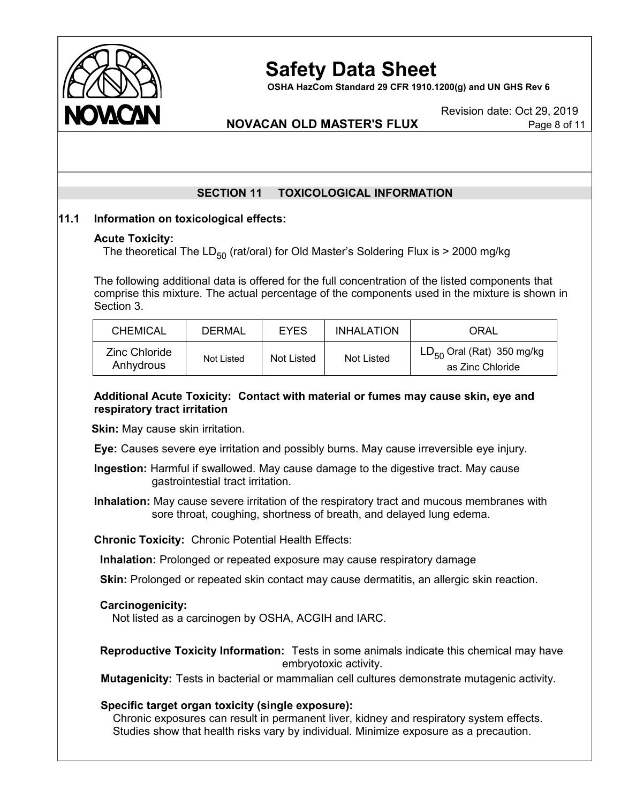

**OSHA HazCom Standard 29 CFR 1910.1200(g) and UN GHS Rev 6**

Revision date: Oct 29, 2019

# **NOVACAN OLD MASTER'S FLUX** Page 8 of 11

# **SECTION 11 TOXICOLOGICAL INFORMATION**

# **11.1 Information on toxicological effects:**

#### **Acute Toxicity:**

The theoretical The LD<sub>50</sub> (rat/oral) for Old Master's Soldering Flux is  $>$  2000 mg/kg

The following additional data is offered for the full concentration of the listed components that comprise this mixture. The actual percentage of the components used in the mixture is shown in Section 3.

| <b>CHEMICAL</b>            | <b>DERMAL</b> | <b>EYES</b> | <b>INHALATION</b> | ORAL                                               |
|----------------------------|---------------|-------------|-------------------|----------------------------------------------------|
| Zinc Chloride<br>Anhydrous | Not Listed    | Not Listed  | Not Listed        | $LD_{50}$ Oral (Rat) 350 mg/kg<br>as Zinc Chloride |

# **Additional Acute Toxicity: Contact with material or fumes may cause skin, eye and respiratory tract irritation**

**Skin:** May cause skin irritation.

**Eye:** Causes severe eye irritation and possibly burns. May cause irreversible eye injury.

**Ingestion:** Harmful if swallowed. May cause damage to the digestive tract. May cause gastrointestial tract irritation.

**Inhalation:** May cause severe irritation of the respiratory tract and mucous membranes with sore throat, coughing, shortness of breath, and delayed lung edema.

**Chronic Toxicity:** Chronic Potential Health Effects:

**Inhalation:** Prolonged or repeated exposure may cause respiratory damage

**Skin:** Prolonged or repeated skin contact may cause dermatitis, an allergic skin reaction.

# **Carcinogenicity:**

Not listed as a carcinogen by OSHA, ACGIH and IARC.

**Reproductive Toxicity Information:** Tests in some animals indicate this chemical may have embryotoxic activity.

**Mutagenicity:** Tests in bacterial or mammalian cell cultures demonstrate mutagenic activity.

# **Specific target organ toxicity (single exposure):**

Chronic exposures can result in permanent liver, kidney and respiratory system effects. Studies show that health risks vary by individual. Minimize exposure as a precaution.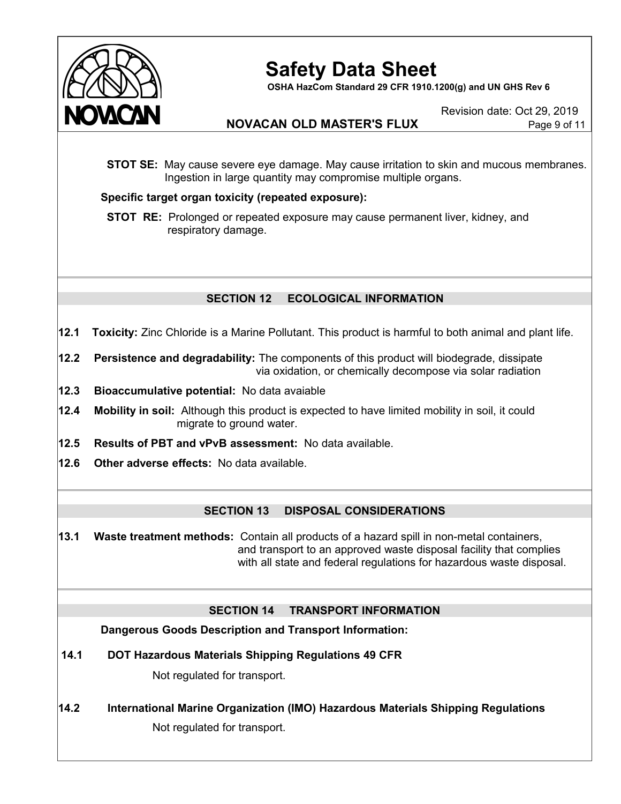

**OSHA HazCom Standard 29 CFR 1910.1200(g) and UN GHS Rev 6**

Revision date: Oct 29, 2019

# **NOVACAN OLD MASTER'S FLUX** Page 9 of 11

**STOT SE:** May cause severe eye damage. May cause irritation to skin and mucous membranes. Ingestion in large quantity may compromise multiple organs.

# **Specific target organ toxicity (repeated exposure):**

**STOT RE:** Prolonged or repeated exposure may cause permanent liver, kidney, and . respiratory damage.

# **SECTION 12 ECOLOGICAL INFORMATION**

- **12.1 Toxicity:** Zinc Chloride is a Marine Pollutant. This product is harmful to both animal and plant life.
- **12.2 Persistence and degradability:** The components of this product will biodegrade, dissipate via oxidation, or chemically decompose via solar radiation
- **12.3 Bioaccumulative potential:** No data avaiable
- **12.4 Mobility in soil:** Although this product is expected to have limited mobility in soil, it could migrate to ground water.
- **12.5 Results of PBT and vPvB assessment:** No data available.
- **12.6 Other adverse effects:** No data available.

# **SECTION 13 DISPOSAL CONSIDERATIONS**

**13.1 Waste treatment methods:** Contain all products of a hazard spill in non-metal containers, and transport to an approved waste disposal facility that complies with all state and federal regulations for hazardous waste disposal.

# **SECTION 14 TRANSPORT INFORMATION**

**Dangerous Goods Description and Transport Information:**

**14.1 DOT Hazardous Materials Shipping Regulations 49 CFR**

Not regulated for transport.

**14.2 International Marine Organization (IMO) Hazardous Materials Shipping Regulations**

Not regulated for transport.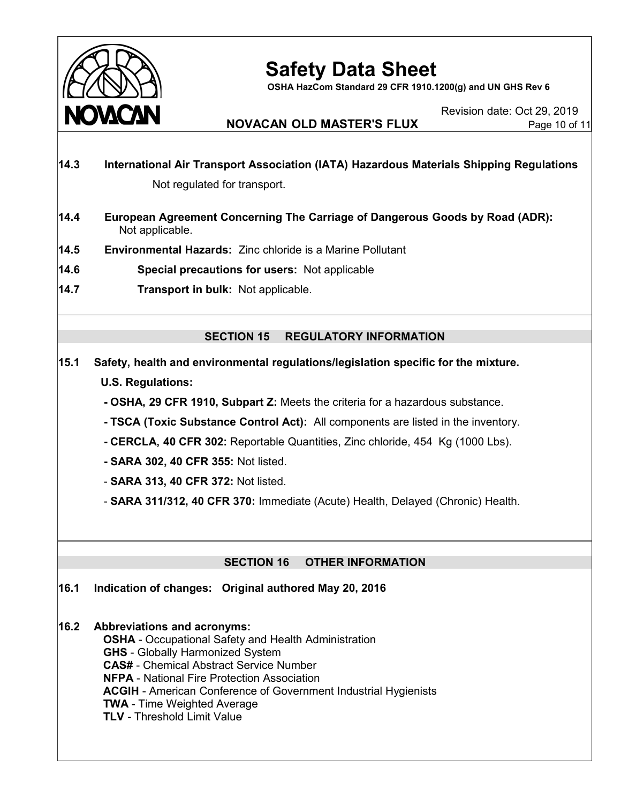

**OSHA HazCom Standard 29 CFR 1910.1200(g) and UN GHS Rev 6**

Revision date: Oct 29, 2019

# **NOVACAN OLD MASTER'S FLUX** Page 10 of 11

- **14.3 International Air Transport Association (IATA) Hazardous Materials Shipping Regulations** Not regulated for transport.
- **14.4 European Agreement Concerning The Carriage of Dangerous Goods by Road (ADR):** Not applicable.
- **14.5 Environmental Hazards:** Zinc chloride is a Marine Pollutant
- **14.6 Special precautions for users:** Not applicable
- **14.7 Transport in bulk:** Not applicable.

# **SECTION 15 REGULATORY INFORMATION**

- **15.1 Safety, health and environmental regulations/legislation specific for the mixture. U.S. Regulations:**
	- **- OSHA, 29 CFR 1910, Subpart Z:** Meets the criteria for a hazardous substance.
	- **- TSCA (Toxic Substance Control Act):** All components are listed in the inventory.
	- **- CERCLA, 40 CFR 302:** Reportable Quantities, Zinc chloride, 454 Kg (1000 Lbs).
	- **- SARA 302, 40 CFR 355:** Not listed.
	- **SARA 313, 40 CFR 372:** Not listed.
	- **SARA 311/312, 40 CFR 370:** Immediate (Acute) Health, Delayed (Chronic) Health.

# **SECTION 16 OTHER INFORMATION**

**16.1 Indication of changes: Original authored May 20, 2016**

# **16.2 Abbreviations and acronyms:**

**OSHA** - Occupational Safety and Health Administration **GHS** - Globally Harmonized System **CAS#** - Chemical Abstract Service Number **NFPA** - National Fire Protection Association **ACGIH** - American Conference of Government Industrial Hygienists **TWA** - Time Weighted Average **TLV** - Threshold Limit Value